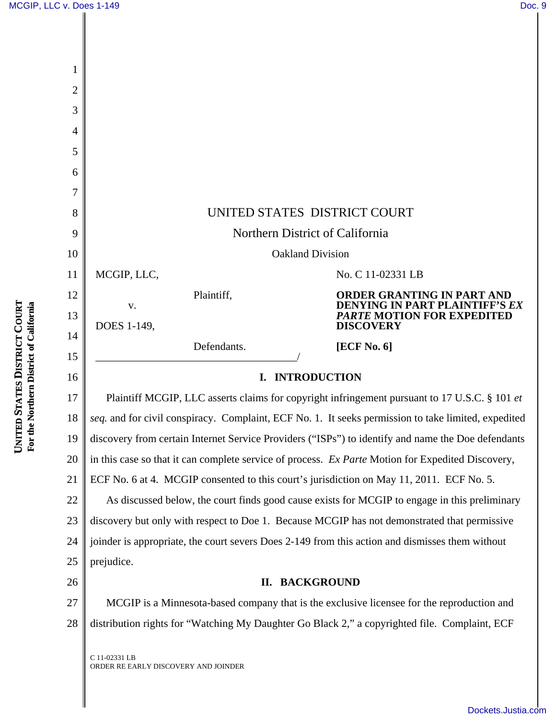| 1              |                                                                                                     |                                                                                                 |
|----------------|-----------------------------------------------------------------------------------------------------|-------------------------------------------------------------------------------------------------|
| $\overline{2}$ |                                                                                                     |                                                                                                 |
| 3              |                                                                                                     |                                                                                                 |
| 4              |                                                                                                     |                                                                                                 |
| 5              |                                                                                                     |                                                                                                 |
| 6              |                                                                                                     |                                                                                                 |
| 7              |                                                                                                     |                                                                                                 |
| 8              | UNITED STATES DISTRICT COURT                                                                        |                                                                                                 |
| 9              | Northern District of California                                                                     |                                                                                                 |
| 10             | <b>Oakland Division</b>                                                                             |                                                                                                 |
| 11             | MCGIP, LLC,                                                                                         | No. C 11-02331 LB                                                                               |
| 12             | Plaintiff,<br>V.                                                                                    | <b>ORDER GRANTING IN PART AND</b><br>DENYING IN PART PLAINTIFF'S EX                             |
| 13             | DOES 1-149,                                                                                         | <i>PARTE MOTION FOR EXPEDITED</i><br><b>DISCOVERY</b>                                           |
| 14             | Defendants.                                                                                         | [ECF No. 6]                                                                                     |
| 15             |                                                                                                     |                                                                                                 |
| 16             | I. INTRODUCTION                                                                                     |                                                                                                 |
| 17             | Plaintiff MCGIP, LLC asserts claims for copyright infringement pursuant to 17 U.S.C. § 101 et       |                                                                                                 |
| 18             | seq. and for civil conspiracy. Complaint, ECF No. 1. It seeks permission to take limited, expedited |                                                                                                 |
| 19             | discovery from certain Internet Service Providers ("ISPs") to identify and name the Doe defendants  |                                                                                                 |
| 20             | in this case so that it can complete service of process. Ex Parte Motion for Expedited Discovery,   |                                                                                                 |
| 21             | ECF No. 6 at 4. MCGIP consented to this court's jurisdiction on May 11, 2011. ECF No. 5.            |                                                                                                 |
| 22             | As discussed below, the court finds good cause exists for MCGIP to engage in this preliminary       |                                                                                                 |
| 23             |                                                                                                     |                                                                                                 |
|                |                                                                                                     | discovery but only with respect to Doe 1. Because MCGIP has not demonstrated that permissive    |
| 24             |                                                                                                     | joinder is appropriate, the court severs Does 2-149 from this action and dismisses them without |
| 25             | prejudice.                                                                                          |                                                                                                 |
| 26             | П.                                                                                                  | <b>BACKGROUND</b>                                                                               |
| 27             |                                                                                                     | MCGIP is a Minnesota-based company that is the exclusive licensee for the reproduction and      |
| 28             |                                                                                                     | distribution rights for "Watching My Daughter Go Black 2," a copyrighted file. Complaint, ECF   |

ORDER RE EARLY DISCOVERY AND JOINDER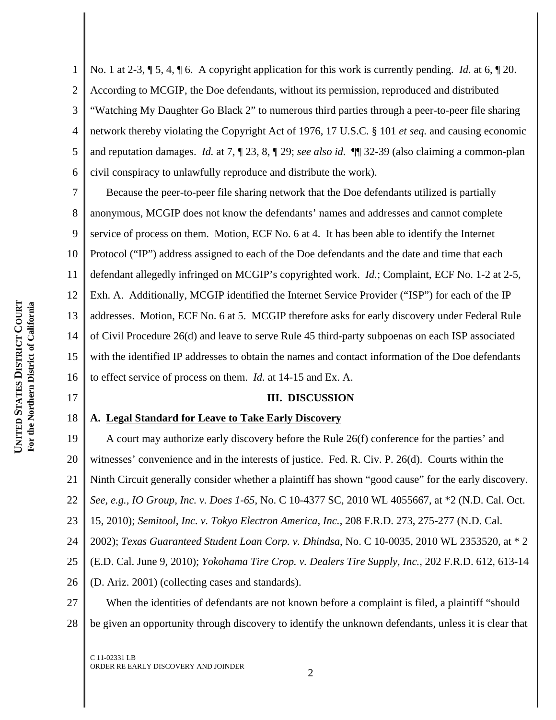17

1 2 3 4 5 6 No. 1 at 2-3, ¶ 5, 4, ¶ 6. A copyright application for this work is currently pending. *Id.* at 6, ¶ 20. According to MCGIP, the Doe defendants, without its permission, reproduced and distributed "Watching My Daughter Go Black 2" to numerous third parties through a peer-to-peer file sharing network thereby violating the Copyright Act of 1976, 17 U.S.C. § 101 *et seq.* and causing economic and reputation damages. *Id.* at 7, ¶ 23, 8, ¶ 29; *see also id.* ¶¶ 32-39 (also claiming a common-plan civil conspiracy to unlawfully reproduce and distribute the work).

7 8 9 10 11 12 13 14 15 16 Because the peer-to-peer file sharing network that the Doe defendants utilized is partially anonymous, MCGIP does not know the defendants' names and addresses and cannot complete service of process on them. Motion, ECF No. 6 at 4. It has been able to identify the Internet Protocol ("IP") address assigned to each of the Doe defendants and the date and time that each defendant allegedly infringed on MCGIP's copyrighted work. *Id.*; Complaint, ECF No. 1-2 at 2-5, Exh. A. Additionally, MCGIP identified the Internet Service Provider ("ISP") for each of the IP addresses. Motion, ECF No. 6 at 5. MCGIP therefore asks for early discovery under Federal Rule of Civil Procedure 26(d) and leave to serve Rule 45 third-party subpoenas on each ISP associated with the identified IP addresses to obtain the names and contact information of the Doe defendants to effect service of process on them. *Id.* at 14-15 and Ex. A.

## **III. DISCUSSION**

#### 18 **A. Legal Standard for Leave to Take Early Discovery**

19 20 21 22 23 24 25 26 A court may authorize early discovery before the Rule 26(f) conference for the parties' and witnesses' convenience and in the interests of justice. Fed. R. Civ. P. 26(d). Courts within the Ninth Circuit generally consider whether a plaintiff has shown "good cause" for the early discovery. *See, e.g., IO Group, Inc. v. Does 1-65*, No. C 10-4377 SC, 2010 WL 4055667, at \*2 (N.D. Cal. Oct. 15, 2010); *Semitool, Inc. v. Tokyo Electron America, Inc.*, 208 F.R.D. 273, 275-277 (N.D. Cal. 2002); *Texas Guaranteed Student Loan Corp. v. Dhindsa*, No. C 10-0035, 2010 WL 2353520, at \* 2 (E.D. Cal. June 9, 2010); *Yokohama Tire Crop. v. Dealers Tire Supply, Inc.*, 202 F.R.D. 612, 613-14 (D. Ariz. 2001) (collecting cases and standards).

27 28 When the identities of defendants are not known before a complaint is filed, a plaintiff "should be given an opportunity through discovery to identify the unknown defendants, unless it is clear that

C 11-02331 LB ORDER RE EARLY DISCOVERY AND JOINDER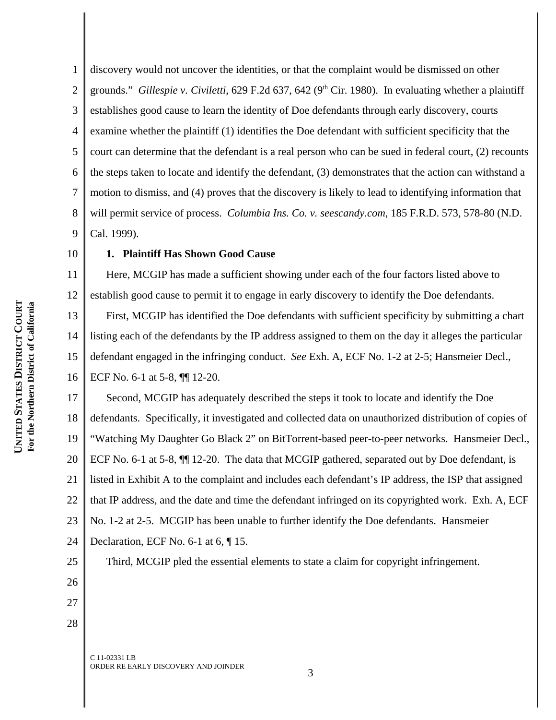1 2 3 4 5 6 7 8 9 discovery would not uncover the identities, or that the complaint would be dismissed on other grounds." *Gillespie v. Civiletti*, 629 F.2d 637, 642 (9<sup>th</sup> Cir. 1980). In evaluating whether a plaintiff establishes good cause to learn the identity of Doe defendants through early discovery, courts examine whether the plaintiff (1) identifies the Doe defendant with sufficient specificity that the court can determine that the defendant is a real person who can be sued in federal court, (2) recounts the steps taken to locate and identify the defendant, (3) demonstrates that the action can withstand a motion to dismiss, and (4) proves that the discovery is likely to lead to identifying information that will permit service of process. *Columbia Ins. Co. v. seescandy.com*, 185 F.R.D. 573, 578-80 (N.D. Cal. 1999).

## 10

25

26

27

28

# **1. Plaintiff Has Shown Good Cause**

11 12 Here, MCGIP has made a sufficient showing under each of the four factors listed above to establish good cause to permit it to engage in early discovery to identify the Doe defendants.

13 14 15 16 First, MCGIP has identified the Doe defendants with sufficient specificity by submitting a chart listing each of the defendants by the IP address assigned to them on the day it alleges the particular defendant engaged in the infringing conduct. *See* Exh. A, ECF No. 1-2 at 2-5; Hansmeier Decl., ECF No. 6-1 at 5-8, ¶¶ 12-20.

17 18 19 20 21 22 23 24 Second, MCGIP has adequately described the steps it took to locate and identify the Doe defendants. Specifically, it investigated and collected data on unauthorized distribution of copies of "Watching My Daughter Go Black 2" on BitTorrent-based peer-to-peer networks. Hansmeier Decl., ECF No. 6-1 at 5-8, ¶¶ 12-20. The data that MCGIP gathered, separated out by Doe defendant, is listed in Exhibit A to the complaint and includes each defendant's IP address, the ISP that assigned that IP address, and the date and time the defendant infringed on its copyrighted work. Exh. A, ECF No. 1-2 at 2-5. MCGIP has been unable to further identify the Doe defendants. Hansmeier Declaration, ECF No. 6-1 at 6, ¶ 15.

Third, MCGIP pled the essential elements to state a claim for copyright infringement.

3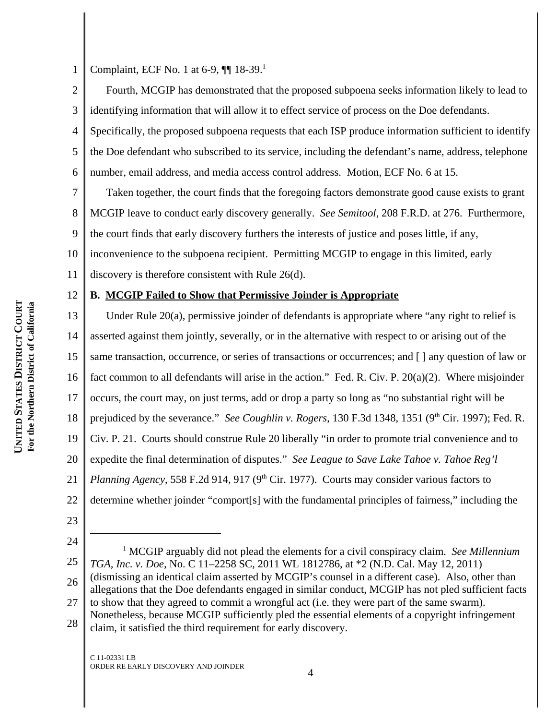2

3

1

Complaint, ECF No. 1 at 6-9,  $\P$  18-39.<sup>1</sup>

Fourth, MCGIP has demonstrated that the proposed subpoena seeks information likely to lead to identifying information that will allow it to effect service of process on the Doe defendants.

4 5 6 Specifically, the proposed subpoena requests that each ISP produce information sufficient to identify the Doe defendant who subscribed to its service, including the defendant's name, address, telephone number, email address, and media access control address. Motion, ECF No. 6 at 15.

7 8 9 Taken together, the court finds that the foregoing factors demonstrate good cause exists to grant MCGIP leave to conduct early discovery generally. *See Semitool*, 208 F.R.D. at 276. Furthermore, the court finds that early discovery furthers the interests of justice and poses little, if any,

10 inconvenience to the subpoena recipient. Permitting MCGIP to engage in this limited, early

11 discovery is therefore consistent with Rule 26(d).

### 12 **B. MCGIP Failed to Show that Permissive Joinder is Appropriate**

13 14 15 16 17 18 19 20 21 22 Under Rule 20(a), permissive joinder of defendants is appropriate where "any right to relief is asserted against them jointly, severally, or in the alternative with respect to or arising out of the same transaction, occurrence, or series of transactions or occurrences; and [ ] any question of law or fact common to all defendants will arise in the action." Fed. R. Civ. P. 20(a)(2). Where misjoinder occurs, the court may, on just terms, add or drop a party so long as "no substantial right will be prejudiced by the severance." *See Coughlin v. Rogers*, 130 F.3d 1348, 1351 (9<sup>th</sup> Cir. 1997); Fed. R. Civ. P. 21. Courts should construe Rule 20 liberally "in order to promote trial convenience and to expedite the final determination of disputes." *See League to Save Lake Tahoe v. Tahoe Reg'l Planning Agency*, 558 F.2d 914, 917 (9<sup>th</sup> Cir. 1977). Courts may consider various factors to determine whether joinder "comport[s] with the fundamental principles of fairness," including the

- 23
- 24

<sup>25</sup> 26 27 28 <sup>1</sup> MCGIP arguably did not plead the elements for a civil conspiracy claim. *See Millennium TGA, Inc. v. Doe*, No. C 11–2258 SC, 2011 WL 1812786, at \*2 (N.D. Cal. May 12, 2011) (dismissing an identical claim asserted by MCGIP's counsel in a different case). Also, other than allegations that the Doe defendants engaged in similar conduct, MCGIP has not pled sufficient facts to show that they agreed to commit a wrongful act (i.e. they were part of the same swarm). Nonetheless, because MCGIP sufficiently pled the essential elements of a copyright infringement claim, it satisfied the third requirement for early discovery.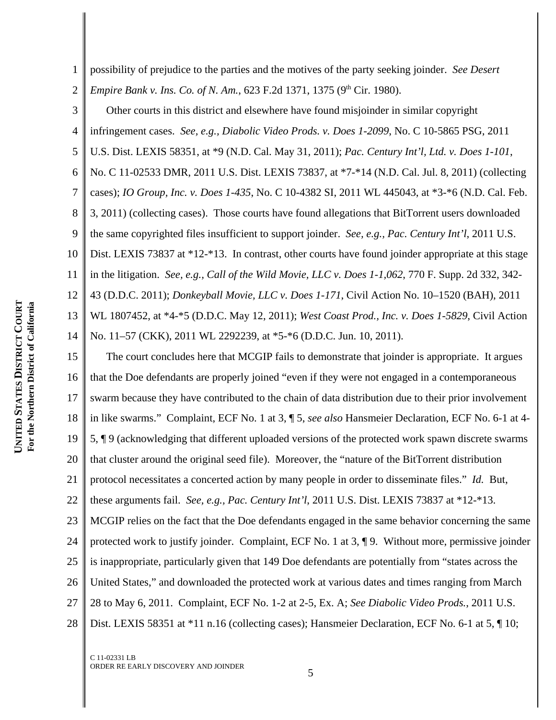1 2 possibility of prejudice to the parties and the motives of the party seeking joinder. *See Desert Empire Bank v. Ins. Co. of N. Am.*, 623 F.2d 1371, 1375 (9<sup>th</sup> Cir. 1980).

3 4 5 6 7 8 9 10 11 12 13 14 Other courts in this district and elsewhere have found misjoinder in similar copyright infringement cases. *See, e.g., Diabolic Video Prods. v. Does 1-2099*, No. C 10-5865 PSG, 2011 U.S. Dist. LEXIS 58351, at \*9 (N.D. Cal. May 31, 2011); *Pac. Century Int'l, Ltd. v. Does 1-101*, No. C 11-02533 DMR, 2011 U.S. Dist. LEXIS 73837, at \*7-\*14 (N.D. Cal. Jul. 8, 2011) (collecting cases); *IO Group, Inc. v. Does 1-435*, No. C 10-4382 SI, 2011 WL 445043, at \*3-\*6 (N.D. Cal. Feb. 3, 2011) (collecting cases). Those courts have found allegations that BitTorrent users downloaded the same copyrighted files insufficient to support joinder. *See, e.g., Pac. Century Int'l*, 2011 U.S. Dist. LEXIS 73837 at \*12-\*13. In contrast, other courts have found joinder appropriate at this stage in the litigation. *See, e.g., Call of the Wild Movie, LLC v. Does 1-1,062*, 770 F. Supp. 2d 332, 342- 43 (D.D.C. 2011); *Donkeyball Movie, LLC v. Does 1-171*, Civil Action No. 10–1520 (BAH), 2011 WL 1807452, at \*4-\*5 (D.D.C. May 12, 2011); *West Coast Prod., Inc. v. Does 1-5829*, Civil Action No. 11–57 (CKK), 2011 WL 2292239, at \*5-\*6 (D.D.C. Jun. 10, 2011).

15 16 17 18 19 20 21 22 23 24 25 26 27 28 The court concludes here that MCGIP fails to demonstrate that joinder is appropriate. It argues that the Doe defendants are properly joined "even if they were not engaged in a contemporaneous swarm because they have contributed to the chain of data distribution due to their prior involvement in like swarms." Complaint, ECF No. 1 at 3, ¶ 5, *see also* Hansmeier Declaration, ECF No. 6-1 at 4- 5, ¶ 9 (acknowledging that different uploaded versions of the protected work spawn discrete swarms that cluster around the original seed file). Moreover, the "nature of the BitTorrent distribution protocol necessitates a concerted action by many people in order to disseminate files." *Id.* But, these arguments fail. *See, e.g., Pac. Century Int'l*, 2011 U.S. Dist. LEXIS 73837 at \*12-\*13. MCGIP relies on the fact that the Doe defendants engaged in the same behavior concerning the same protected work to justify joinder. Complaint, ECF No. 1 at 3, ¶ 9. Without more, permissive joinder is inappropriate, particularly given that 149 Doe defendants are potentially from "states across the United States," and downloaded the protected work at various dates and times ranging from March 28 to May 6, 2011. Complaint, ECF No. 1-2 at 2-5, Ex. A; *See Diabolic Video Prods.*, 2011 U.S. Dist. LEXIS 58351 at \*11 n.16 (collecting cases); Hansmeier Declaration, ECF No. 6-1 at 5,  $\P$  10;

C 11-02331 LB ORDER RE EARLY DISCOVERY AND JOINDER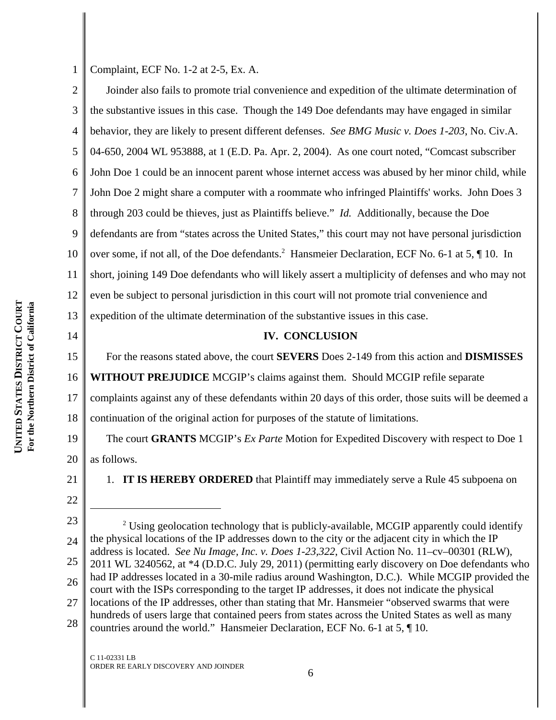Complaint, ECF No. 1-2 at 2-5, Ex. A.

2 3 4 5 6 7 8 9 10 11 12 13 Joinder also fails to promote trial convenience and expedition of the ultimate determination of the substantive issues in this case. Though the 149 Doe defendants may have engaged in similar behavior, they are likely to present different defenses. *See BMG Music v. Does 1-203*, No. Civ.A. 04-650, 2004 WL 953888, at 1 (E.D. Pa. Apr. 2, 2004). As one court noted, "Comcast subscriber John Doe 1 could be an innocent parent whose internet access was abused by her minor child, while John Doe 2 might share a computer with a roommate who infringed Plaintiffs' works. John Does 3 through 203 could be thieves, just as Plaintiffs believe." *Id.* Additionally, because the Doe defendants are from "states across the United States," this court may not have personal jurisdiction over some, if not all, of the Doe defendants.<sup>2</sup> Hansmeier Declaration, ECF No. 6-1 at 5, ¶ 10. In short, joining 149 Doe defendants who will likely assert a multiplicity of defenses and who may not even be subject to personal jurisdiction in this court will not promote trial convenience and expedition of the ultimate determination of the substantive issues in this case.

14 15

1

## **IV. CONCLUSION**

For the reasons stated above, the court **SEVERS** Does 2-149 from this action and **DISMISSES**

16 **WITHOUT PREJUDICE** MCGIP's claims against them. Should MCGIP refile separate

17 complaints against any of these defendants within 20 days of this order, those suits will be deemed a

18 continuation of the original action for purposes of the statute of limitations.

19 20 The court **GRANTS** MCGIP's *Ex Parte* Motion for Expedited Discovery with respect to Doe 1 as follows.

21

22

1. **IT IS HEREBY ORDERED** that Plaintiff may immediately serve a Rule 45 subpoena on

23

24 25 26 27 28 <sup>2</sup> Using geolocation technology that is publicly-available, MCGIP apparently could identify the physical locations of the IP addresses down to the city or the adjacent city in which the IP address is located. *See Nu Image, Inc. v. Does 1-23,322*, Civil Action No. 11–cv–00301 (RLW), 2011 WL 3240562, at \*4 (D.D.C. July 29, 2011) (permitting early discovery on Doe defendants who had IP addresses located in a 30-mile radius around Washington, D.C.). While MCGIP provided the court with the ISPs corresponding to the target IP addresses, it does not indicate the physical locations of the IP addresses, other than stating that Mr. Hansmeier "observed swarms that were hundreds of users large that contained peers from states across the United States as well as many countries around the world." Hansmeier Declaration, ECF No. 6-1 at 5, ¶ 10.